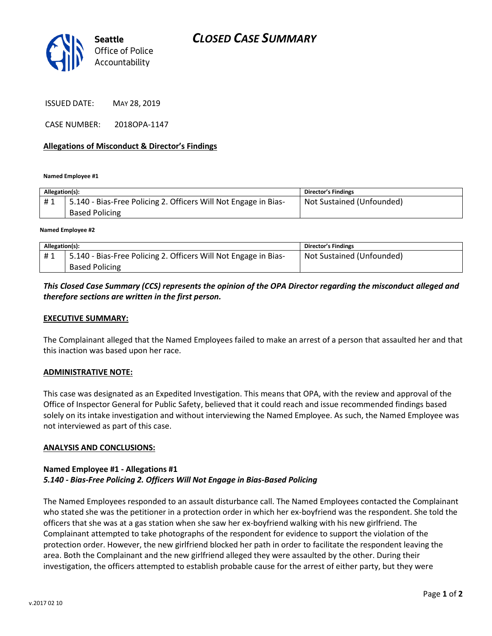

ISSUED DATE: MAY 28, 2019

CASE NUMBER: 2018OPA-1147

## **Allegations of Misconduct & Director's Findings**

**Named Employee #1**

| Allegation(s): |                                                                                          | <b>Director's Findings</b> |
|----------------|------------------------------------------------------------------------------------------|----------------------------|
| #1             | 5.140 - Bias-Free Policing 2. Officers Will Not Engage in Bias-<br><b>Based Policing</b> | Not Sustained (Unfounded)  |
|                |                                                                                          |                            |

**Named Employee #2**

| Allegation(s): |                                                                 | Director's Findings       |
|----------------|-----------------------------------------------------------------|---------------------------|
| #1             | 5.140 - Bias-Free Policing 2. Officers Will Not Engage in Bias- | Not Sustained (Unfounded) |
|                | <b>Based Policing</b>                                           |                           |

# *This Closed Case Summary (CCS) represents the opinion of the OPA Director regarding the misconduct alleged and therefore sections are written in the first person.*

#### **EXECUTIVE SUMMARY:**

The Complainant alleged that the Named Employees failed to make an arrest of a person that assaulted her and that this inaction was based upon her race.

#### **ADMINISTRATIVE NOTE:**

This case was designated as an Expedited Investigation. This means that OPA, with the review and approval of the Office of Inspector General for Public Safety, believed that it could reach and issue recommended findings based solely on its intake investigation and without interviewing the Named Employee. As such, the Named Employee was not interviewed as part of this case.

#### **ANALYSIS AND CONCLUSIONS:**

## **Named Employee #1 - Allegations #1** *5.140 - Bias-Free Policing 2. Officers Will Not Engage in Bias-Based Policing*

The Named Employees responded to an assault disturbance call. The Named Employees contacted the Complainant who stated she was the petitioner in a protection order in which her ex-boyfriend was the respondent. She told the officers that she was at a gas station when she saw her ex-boyfriend walking with his new girlfriend. The Complainant attempted to take photographs of the respondent for evidence to support the violation of the protection order. However, the new girlfriend blocked her path in order to facilitate the respondent leaving the area. Both the Complainant and the new girlfriend alleged they were assaulted by the other. During their investigation, the officers attempted to establish probable cause for the arrest of either party, but they were